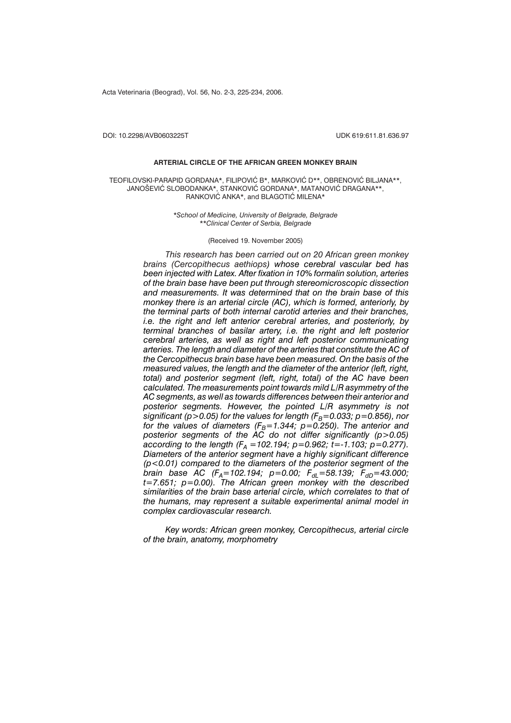Acta Veterinaria (Beograd), Vol. 56, No. 2-3, 225-234, 2006.

DOI: 10.2298/AVB0603225T UDK 619:611.81.636.97

## **ARTERIAL CIRCLE OF THE AFRICAN GREEN MONKEY BRAIN**

TEOFILOVSKI-PARAPID GORDANA\*, FILIPOVIĆ B\*, MARKOVIĆ D\*\*, OBRENOVIĆ BILJANA\*\*, JANOSEVIC SLOBODANKA\*, STANKOVIC GORDANA\*, MATANOVIC DRAGANA\*\*, RANKOVIC ANKA\*, and BLAGOTIC MILENA\*

> *\*School of Medicine, University of Belgrade, Belgrade \*\*Clinical Center of Serbia, Belgrade*

## (Received 19. November 2005)

*This research has been carried out on 20 African green monkey brains (Cercopithecus aethiops) whose cerebral vascular bed has been injected with Latex. After fixation in 10% formalin solution, arteries of the brain base have been put through stereomicroscopic dissection and measurements. It was determined that on the brain base of this monkey there is an arterial circle (AC), which is formed, anteriorly, by the terminal parts of both internal carotid arteries and their branches, i.e. the right and left anterior cerebral arteries, and posteriorly, by terminal branches of basilar artery, i.e. the right and left posterior cerebral arteries, as well as right and left posterior communicating arteries. The length and diameter of the arteries that constitute the AC of the Cercopithecus brain base have been measured. On the basis of the measured values, the length and the diameter of the anterior (left, right, total) and posterior segment (left, right, total) of the AC have been calculated. The measurements point towards mild L/R asymmetry of the AC segments, as well as towards differences between their anterior and posterior segments. However, the pointed L/R asymmetry is not significant (p>0.05) for the values for length (* $F_B$ *=0.033; p=0.856), nor for the values of diameters (F<sub>B</sub>=1.344; p=0.250). The anterior and posterior segments of the AC do not differ significantly (p>0.05) according to the length (F<sub>A</sub> = 102.194; p=0.962; t=-1.103; p=0.277). Diameters of the anterior segment have a highly significant difference (p<0.01) compared to the diameters of the posterior segment of the brain base AC (F<sub>A</sub>=102.194; p=0.00; F<sub>dL</sub>=58.139; F<sub>dD</sub>=43.000; t=7.651; p=0.00). The African green monkey with the described similarities of the brain base arterial circle, which correlates to that of the humans, may represent a suitable experimental animal model in complex cardiovascular research.*

*Key words: African green monkey, Cercopithecus, arterial circle of the brain, anatomy, morphometry*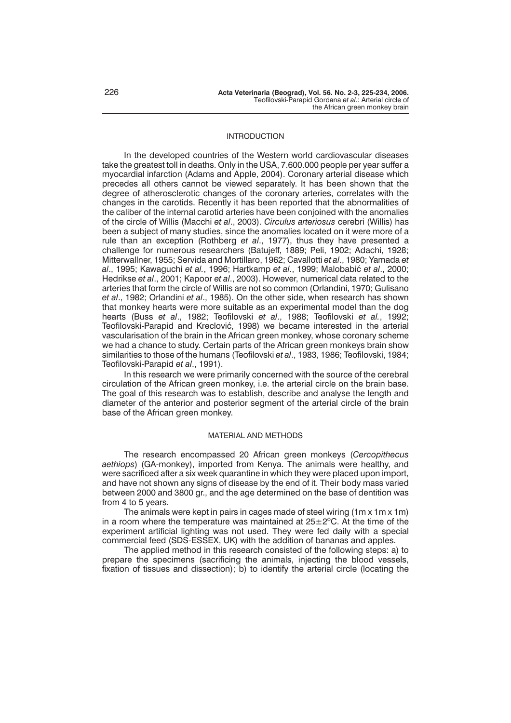# INTRODUCTION

In the developed countries of the Western world cardiovascular diseases take the greatest toll in deaths. Only in the USA, 7.600.000 people per year suffer a myocardial infarction (Adams and Apple, 2004). Coronary arterial disease which precedes all others cannot be viewed separately. It has been shown that the degree of atherosclerotic changes of the coronary arteries, correlates with the changes in the carotids. Recently it has been reported that the abnormalities of the caliber of the internal carotid arteries have been conjoined with the anomalies of the circle of Willis (Macchi *et al*., 2003). *Circulus arteriosus* cerebri (Willis) has been a subject of many studies, since the anomalies located on it were more of a rule than an exception (Rothberg *et al*., 1977), thus they have presented a challenge for numerous researchers (Batujeff, 1889; Peli, 1902; Adachi, 1928; Mitterwallner, 1955; Servida and Mortillaro, 1962; Cavallotti *et al*., 1980; Yamada *et al*., 1995; Kawaguchi *et al.*, 1996; Hartkamp *et al*., 1999; Malobabi} *et al*., 2000; Hedrikse *et al*., 2001; Kapoor *et al*., 2003). However, numerical data related to the arteries that form the circle of Willis are not so common (Orlandini, 1970; Gulisano *et al*., 1982; Orlandini *et al*., 1985). On the other side, when research has shown that monkey hearts were more suitable as an experimental model than the dog hearts (Buss *et al*., 1982; Teofilovski *et al*., 1988; Teofilovski *et al.*, 1992; Teofilovski-Parapid and Kreclović, 1998) we became interested in the arterial vascularisation of the brain in the African green monkey, whose coronary scheme we had a chance to study. Certain parts of the African green monkeys brain show similarities to those of the humans (Teofilovski *et al*., 1983, 1986; Teofilovski, 1984; Teofilovski-Parapid *et al*., 1991).

In this research we were primarily concerned with the source of the cerebral circulation of the African green monkey, i.e. the arterial circle on the brain base. The goal of this research was to establish, describe and analyse the length and diameter of the anterior and posterior segment of the arterial circle of the brain base of the African green monkey.

# MATERIAL AND METHODS

The research encompassed 20 African green monkeys (*Cercopithecus aethiops*) (GA-monkey), imported from Kenya. The animals were healthy, and were sacrificed after a six week quarantine in which they were placed upon import, and have not shown any signs of disease by the end of it. Their body mass varied between 2000 and 3800 gr., and the age determined on the base of dentition was from 4 to 5 years.

The animals were kept in pairs in cages made of steel wiring (1m x 1m x 1m) in a room where the temperature was maintained at  $25\pm2^{\circ}$ C. At the time of the experiment artificial lighting was not used. They were fed daily with a special commercial feed (SDS-ESSEX, UK) with the addition of bananas and apples.

The applied method in this research consisted of the following steps: a) to prepare the specimens (sacrificing the animals, injecting the blood vessels, fixation of tissues and dissection); b) to identify the arterial circle (locating the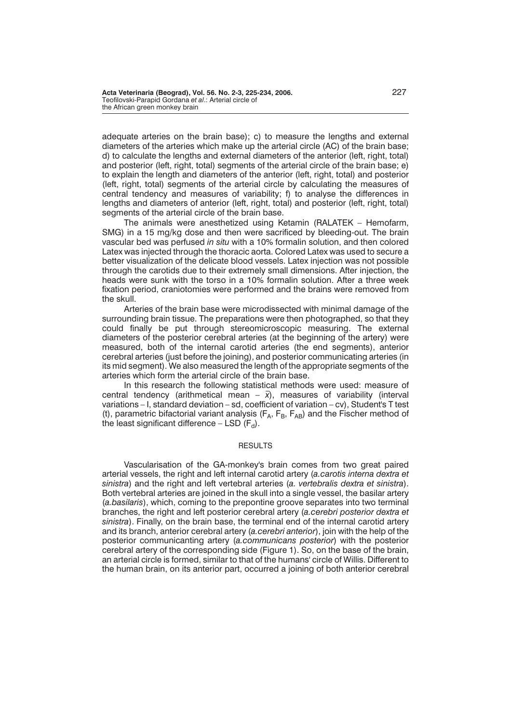adequate arteries on the brain base); c) to measure the lengths and external diameters of the arteries which make up the arterial circle (AC) of the brain base; d) to calculate the lengths and external diameters of the anterior (left, right, total) and posterior (left, right, total) segments of the arterial circle of the brain base; e) to explain the length and diameters of the anterior (left, right, total) and posterior (left, right, total) segments of the arterial circle by calculating the measures of central tendency and measures of variability; f) to analyse the differences in lengths and diameters of anterior (left, right, total) and posterior (left, right, total) segments of the arterial circle of the brain base.

The animals were anesthetized using Ketamin (RALATEK – Hemofarm, SMG) in a 15 mg/kg dose and then were sacrificed by bleeding-out. The brain vascular bed was perfused *in situ* with a 10% formalin solution, and then colored Latex was injected through the thoracic aorta. Colored Latex was used to secure a better visualization of the delicate blood vessels. Latex injection was not possible through the carotids due to their extremely small dimensions. After injection, the heads were sunk with the torso in a 10% formalin solution. After a three week fixation period, craniotomies were performed and the brains were removed from the skull.

Arteries of the brain base were microdissected with minimal damage of the surrounding brain tissue. The preparations were then photographed, so that they could finally be put through stereomicroscopic measuring. The external diameters of the posterior cerebral arteries (at the beginning of the artery) were measured, both of the internal carotid arteries (the end segments), anterior cerebral arteries (just before the joining), and posterior communicating arteries (in its mid segment). We also measured the length of the appropriate segments of the arteries which form the arterial circle of the brain base.

In this research the following statistical methods were used: measure of central tendency (arithmetical mean  $-\bar{x}$ ), measures of variability (interval variations – I, standard deviation – sd, coefficient of variation – cv), Student's T test (t), parametric bifactorial variant analysis  $(F_A, F_B, F_{AB})$  and the Fischer method of the least significant difference  $-$  LSD  $(F_d)$ .

# **RESULTS**

Vascularisation of the GA-monkey's brain comes from two great paired arterial vessels, the right and left internal carotid artery (*a.carotis interna dextra et sinistra*) and the right and left vertebral arteries (*a. vertebralis dextra et sinistra*). Both vertebral arteries are joined in the skull into a single vessel, the basilar artery (*a.basilaris*), which, coming to the prepontine groove separates into two terminal branches, the right and left posterior cerebral artery (*a.cerebri posterior dextra et sinistra*). Finally, on the brain base, the terminal end of the internal carotid artery and its branch, anterior cerebral artery (*a.cerebri anterior*), join with the help of the posterior communicanting artery (*a.communicans posterior*) with the posterior cerebral artery of the corresponding side (Figure 1). So, on the base of the brain, an arterial circle is formed, similar to that of the humans' circle of Willis. Different to the human brain, on its anterior part, occurred a joining of both anterior cerebral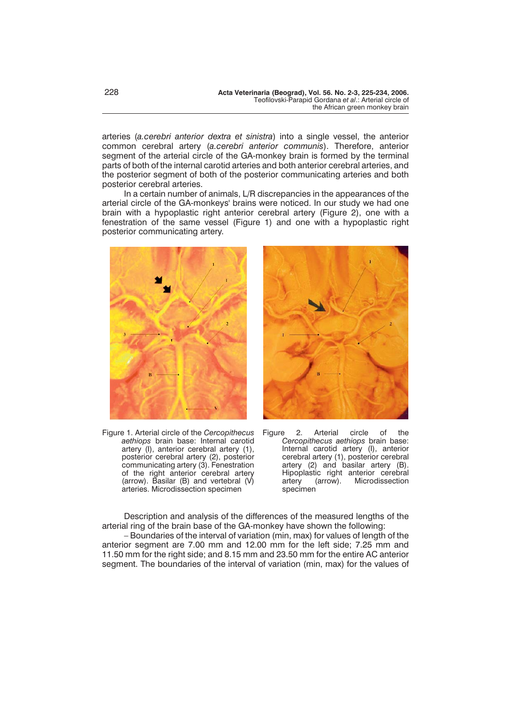arteries (*a.cerebri anterior dextra et sinistra*) into a single vessel, the anterior common cerebral artery (*a.cerebri anterior communis*). Therefore, anterior segment of the arterial circle of the GA-monkey brain is formed by the terminal parts of both of the internal carotid arteries and both anterior cerebral arteries, and the posterior segment of both of the posterior communicating arteries and both posterior cerebral arteries.

In a certain number of animals, L/R discrepancies in the appearances of the arterial circle of the GA-monkeys' brains were noticed. In our study we had one brain with a hypoplastic right anterior cerebral artery (Figure 2), one with a fenestration of the same vessel (Figure 1) and one with a hypoplastic right posterior communicating artery.



Figure 1. Arterial circle of the *Cercopithecus aethiops* brain base: Internal carotid artery (I), anterior cerebral artery (1), posterior cerebral artery (2), posterior communicating artery (3). Fenestration of the right anterior cerebral artery (arrow). Basilar (B) and vertebral (V) arteries. Microdissection specimen



2. Arterial circle of the *Cercopithecus aethiops* brain base: Internal carotid artery (I), anterior cerebral artery (1), posterior cerebral artery (2) and basilar artery (B). Hipoplastic right anterior cerebral artery (arrow). Microdissection specimen

Description and analysis of the differences of the measured lengths of the arterial ring of the brain base of the GA-monkey have shown the following:

– Boundaries of the interval of variation (min, max) for values of length of the anterior segment are 7.00 mm and 12.00 mm for the left side; 7.25 mm and 11.50 mm for the right side; and 8.15 mm and 23.50 mm for the entire AC anterior segment. The boundaries of the interval of variation (min, max) for the values of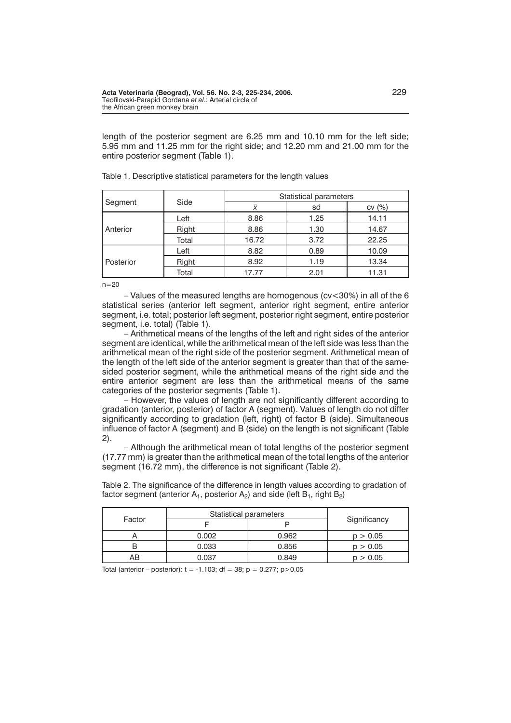length of the posterior segment are 6.25 mm and 10.10 mm for the left side; 5.95 mm and 11.25 mm for the right side; and 12.20 mm and 21.00 mm for the entire posterior segment (Table 1).

|           | Side  | Statistical parameters |      |       |
|-----------|-------|------------------------|------|-------|
| Segment   |       |                        | sd   | CV(%) |
| Anterior  | Left  | 8.86                   | 1.25 | 14.11 |
|           | Right | 8.86                   | 1.30 | 14.67 |
|           | Total | 16.72                  | 3.72 | 22.25 |
| Posterior | Left  | 8.82                   | 0.89 | 10.09 |
|           | Right | 8.92                   | 1.19 | 13.34 |
|           | Total | 17.77                  | 2.01 | 11.31 |

Table 1. Descriptive statistical parameters for the length values

 $n = 20$ 

– Values of the measured lengths are homogenous (cv<30%) in all of the 6 statistical series (anterior left segment, anterior right segment, entire anterior segment, i.e. total; posterior left segment, posterior right segment, entire posterior segment, i.e. total) (Table 1).

– Arithmetical means of the lengths of the left and right sides of the anterior segment are identical, while the arithmetical mean of the left side was less than the arithmetical mean of the right side of the posterior segment. Arithmetical mean of the length of the left side of the anterior segment is greater than that of the samesided posterior segment, while the arithmetical means of the right side and the entire anterior segment are less than the arithmetical means of the same categories of the posterior segments (Table 1).

– However, the values of length are not significantly different according to gradation (anterior, posterior) of factor A (segment). Values of length do not differ significantly according to gradation (left, right) of factor B (side). Simultaneous influence of factor A (segment) and B (side) on the length is not significant (Table 2).

– Although the arithmetical mean of total lengths of the posterior segment (17.77 mm) is greater than the arithmetical mean of the total lengths of the anterior segment (16.72 mm), the difference is not significant (Table 2).

Table 2. The significance of the difference in length values according to gradation of factor segment (anterior  $A_1$ , posterior  $A_2$ ) and side (left  $B_1$ , right  $B_2$ )

|        | Statistical parameters |       |              |  |
|--------|------------------------|-------|--------------|--|
| Factor |                        |       | Significancy |  |
|        | 0.002                  | 0.962 | p > 0.05     |  |
|        | 0.033                  | 0.856 | p > 0.05     |  |
| AВ     | 0.037                  | 0.849 | p > 0.05     |  |

Total (anterior – posterior):  $t = -1.103$ ;  $df = 38$ ;  $p = 0.277$ ;  $p > 0.05$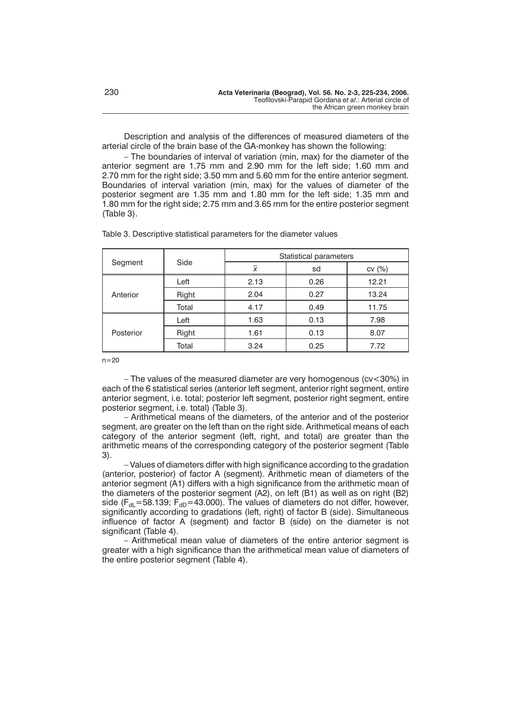Description and analysis of the differences of measured diameters of the arterial circle of the brain base of the GA-monkey has shown the following:

– The boundaries of interval of variation (min, max) for the diameter of the anterior segment are 1.75 mm and 2.90 mm for the left side; 1.60 mm and 2.70 mm for the right side; 3.50 mm and 5.60 mm for the entire anterior segment. Boundaries of interval variation (min, max) for the values of diameter of the posterior segment are 1.35 mm and 1.80 mm for the left side; 1.35 mm and 1.80 mm for the right side; 2.75 mm and 3.65 mm for the entire posterior segment (Table 3).

| Segment   | Side  | Statistical parameters |      |       |
|-----------|-------|------------------------|------|-------|
|           |       | x                      | sd   | CV(%) |
| Anterior  | Left  | 2.13                   | 0.26 | 12.21 |
|           | Right | 2.04                   | 0.27 | 13.24 |
|           | Total | 4.17                   | 0.49 | 11.75 |
| Posterior | Left  | 1.63                   | 0.13 | 7.98  |
|           | Right | 1.61                   | 0.13 | 8.07  |
|           | Total | 3.24                   | 0.25 | 7.72  |

Table 3. Descriptive statistical parameters for the diameter values

 $n=20$ 

– The values of the measured diameter are very homogenous (cv<30%) in each of the 6 statistical series (anterior left segment, anterior right segment, entire anterior segment, i.e. total; posterior left segment, posterior right segment, entire posterior segment, i.e. total) (Table 3).

– Arithmetical means of the diameters, of the anterior and of the posterior segment, are greater on the left than on the right side. Arithmetical means of each category of the anterior segment (left, right, and total) are greater than the arithmetic means of the corresponding category of the posterior segment (Table 3).

– Values of diameters differ with high significance according to the gradation (anterior, posterior) of factor A (segment). Arithmetic mean of diameters of the anterior segment (A1) differs with a high significance from the arithmetic mean of the diameters of the posterior segment (A2), on left (B1) as well as on right (B2) side ( $F_{\text{dl}}$ =58.139;  $F_{\text{dD}}$ =43.000). The values of diameters do not differ, however, significantly according to gradations (left, right) of factor B (side). Simultaneous influence of factor A (segment) and factor B (side) on the diameter is not significant (Table 4).

– Arithmetical mean value of diameters of the entire anterior segment is greater with a high significance than the arithmetical mean value of diameters of the entire posterior segment (Table 4).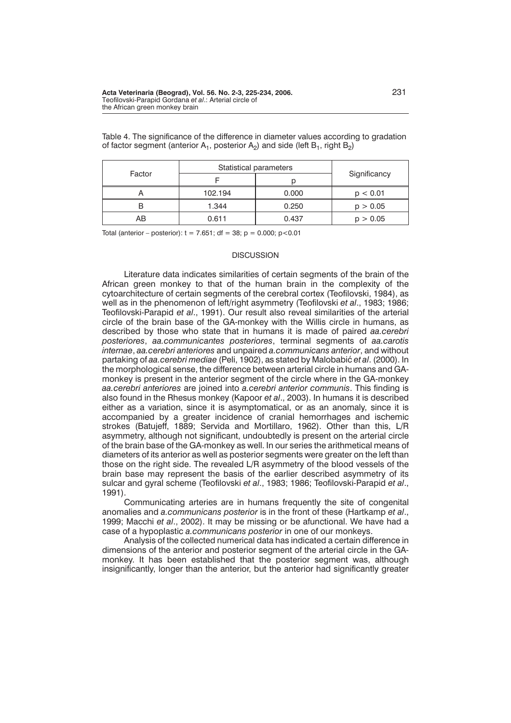| Factor | Statistical parameters |       |              |
|--------|------------------------|-------|--------------|
|        |                        |       | Significancy |
|        | 102.194                | 0.000 | p < 0.01     |
|        | 1.344                  | 0.250 | p > 0.05     |
| AB     | 0.611                  | 0.437 | p > 0.05     |

Table 4. The significance of the difference in diameter values according to gradation of factor segment (anterior  $A_1$ , posterior  $A_2$ ) and side (left  $B_1$ , right  $B_2$ )

Total (anterior – posterior):  $t = 7.651$ ; df = 38; p = 0.000; p < 0.01

## **DISCUSSION**

Literature data indicates similarities of certain segments of the brain of the African green monkey to that of the human brain in the complexity of the cytoarchitecture of certain segments of the cerebral cortex (Teofilovski, 1984), as well as in the phenomenon of left/right asymmetry (Teofilovski *et al*., 1983; 1986; Teofilovski-Parapid *et al*., 1991). Our result also reveal similarities of the arterial circle of the brain base of the GA-monkey with the Willis circle in humans, as described by those who state that in humans it is made of paired *aa.cerebri posteriores*, *aa.communicantes posteriores*, terminal segments of *aa.carotis internae*, *aa.cerebri anteriores* and unpaired *a.communicans anterior*, and without partaking of *aa.cerebri mediae* (Peli, 1902), as stated by Malobabić *et al.* (2000). In the morphological sense, the difference between arterial circle in humans and GAmonkey is present in the anterior segment of the circle where in the GA-monkey *aa.cerebri anteriores* are joined into *a.cerebri anterior communis*. This finding is also found in the Rhesus monkey (Kapoor *et al*., 2003). In humans it is described either as a variation, since it is asymptomatical, or as an anomaly, since it is accompanied by a greater incidence of cranial hemorrhages and ischemic strokes (Batujeff, 1889; Servida and Mortillaro, 1962). Other than this, L/R asymmetry, although not significant, undoubtedly is present on the arterial circle of the brain base of the GA-monkey as well. In our series the arithmetical means of diameters of its anterior as well as posterior segments were greater on the left than those on the right side. The revealed L/R asymmetry of the blood vessels of the brain base may represent the basis of the earlier described asymmetry of its sulcar and gyral scheme (Teofilovski *et al*., 1983; 1986; Teofilovski-Parapid *et al*., 1991).

Communicating arteries are in humans frequently the site of congenital anomalies and *a.communicans posterior* is in the front of these (Hartkamp *et al*., 1999; Macchi *et al*., 2002). It may be missing or be afunctional. We have had a case of a hypoplastic *a.communicans posterior* in one of our monkeys.

Analysis of the collected numerical data has indicated a certain difference in dimensions of the anterior and posterior segment of the arterial circle in the GAmonkey. It has been established that the posterior segment was, although insignificantly, longer than the anterior, but the anterior had significantly greater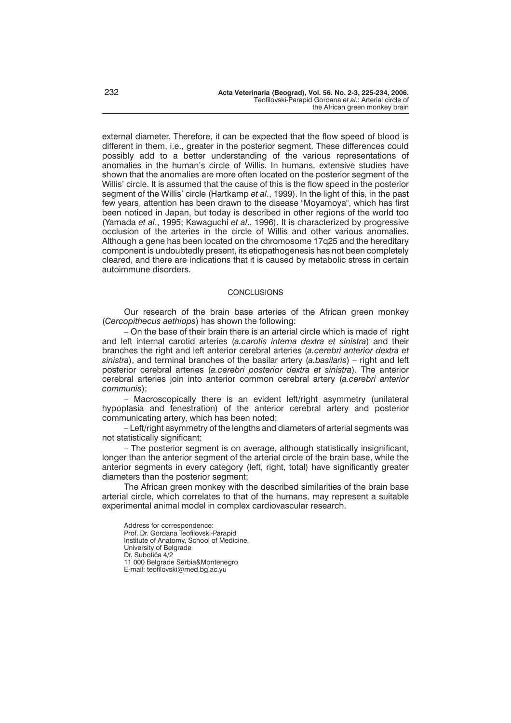external diameter. Therefore, it can be expected that the flow speed of blood is different in them, i.e., greater in the posterior segment. These differences could possibly add to a better understanding of the various representations of anomalies in the human's circle of Willis. In humans, extensive studies have shown that the anomalies are more often located on the posterior segment of the Willis' circle. It is assumed that the cause of this is the flow speed in the posterior segment of the Willis' circle (Hartkamp *et al*., 1999). In the light of this, in the past few years, attention has been drawn to the disease "Moyamoya", which has first been noticed in Japan, but today is described in other regions of the world too (Yamada *et al*., 1995; Kawaguchi *et al*., 1996). It is characterized by progressive occlusion of the arteries in the circle of Willis and other various anomalies. Although a gene has been located on the chromosome 17q25 and the hereditary component is undoubtedly present, its etiopathogenesis has not been completely cleared, and there are indications that it is caused by metabolic stress in certain autoimmune disorders.

# **CONCLUSIONS**

Our research of the brain base arteries of the African green monkey (*Cercopithecus aethiops*) has shown the following:

– On the base of their brain there is an arterial circle which is made of right and left internal carotid arteries (*a.carotis interna dextra et sinistra*) and their branches the right and left anterior cerebral arteries (*a.cerebri anterior dextra et sinistra*), and terminal branches of the basilar artery (*a.basilaris*) – right and left posterior cerebral arteries (*a.cerebri posterior dextra et sinistra*). The anterior cerebral arteries join into anterior common cerebral artery (*a.cerebri anterior communis*);

– Macroscopically there is an evident left/right asymmetry (unilateral hypoplasia and fenestration) of the anterior cerebral artery and posterior communicating artery, which has been noted;

– Left/right asymmetry of the lengths and diameters of arterial segments was not statistically significant;

– The posterior segment is on average, although statistically insignificant, longer than the anterior segment of the arterial circle of the brain base, while the anterior segments in every category (left, right, total) have significantly greater diameters than the posterior segment;

The African green monkey with the described similarities of the brain base arterial circle, which correlates to that of the humans, may represent a suitable experimental animal model in complex cardiovascular research.

Address for correspondence: Prof. Dr. Gordana Teofilovski-Parapid Institute of Anatomy, School of Medicine, University of Belgrade Dr. Subotića 4/2 11 000 Belgrade Serbia&Montenegro E-mail: teofilovski@med.bg.ac.yu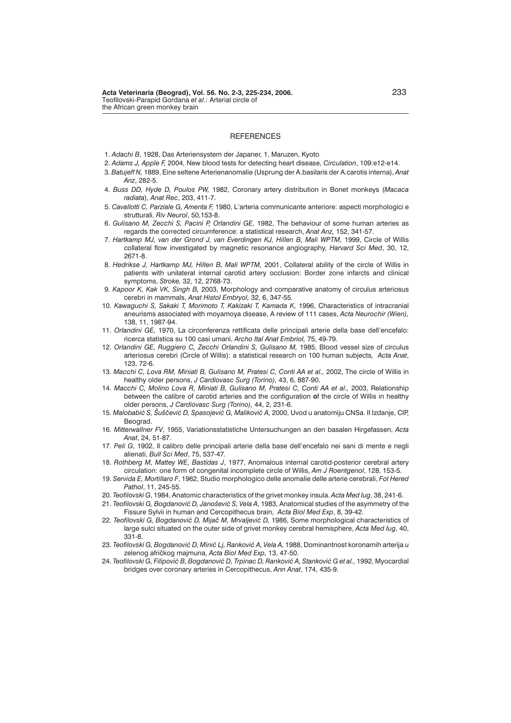#### **REFERENCES**

- 1. *Adachi B*, 1928, Das Arteriensystem der Japaner, 1, Maruzen, Kyoto
- 2. *Adams J, Apple F,* 2004, New blood tests for detecting heart disease, *Circulation*, 109:e12-e14.
- 3. *Batujeff N,* 1889, Eine seltene Arterienanomalie (Usprung der A.basilaris der A.carotis interna), *Anat Anz*, 282-5.
- 4. *Buss DD, Hyde D, Poulos PW,* 1982, Coronary artery distribution in Bonet monkeys (*Macaca radiata*), *Anat Rec*, 203, 411-7.
- 5. *Cavallotti C, Parziale G, Amenta F,* 1980, L'arteria communicante anteriore: aspecti morphologici e strutturali, *Riv Neurol*, 50,153-8.
- 6. *Gulisano M, Zecchi S, Pacini P, Orlandini GE,* 1982, The behaviour of some human arteries as regards the corrected circumference: a statistical research, *Anat Anz,* 152, 341-57.
- 7. *Hartkamp MJ, van der Grond J, van Everdingen KJ, Hillen B, Mali WPTM,* 1999, Circle of Willis collateral flow investigated by magnetic resonance angiography, *Harvard Sci Med*, 30, 12, 2671-8.
- 8. *Hedrikse J, Hartkamp MJ, Hillen B, Mali WPTM,* 2001, Collateral ability of the circle of Willis in patients with unilateral internal carotid artery occlusion: Border zone infarcts and clinical symptoms, *Stroke,* 32, 12, 2768-73.
- 9. *Kapoor K, Kak VK, Singh B,* 2003, Morphology and comparative anatomy of circulus arteriosus cerebri in mammals, *Anat Histol Embryol,* 32, 6, 347-55.
- 10. *Kawaguchi S, Sakaki T, Morimoto T, Kakizaki T, Kamada K,* 1996, Characteristics of intracranial aneurisms associated with moyamoya disease, A review of 111 cases, *Acta Neurochir (Wien),* 138, 11, 1987-94.
- 11. *Orlandini GE,* 1970, La circonferenza rettificata delle principali arterie della base dell'encefalo: ricerca statistica su 100 casi umani, *Archo Ital Anat Embriol,* 75, 49-79.
- 12. *Orlandini GE, Ruggiero C, Zecchi Orlandini S, Gulisano M,* 1985, Blood vessel size of circulus arteriosus cerebri (Circle of Willis): a statistical research on 100 human subjects*, Acta Anat*, 123, 72-6.
- 13. *Macchi C, Lova RM, Miniati B, Gulisano M, Pratesi C, Conti AA et al.,* 2002, The circle of Willis in healthy older persons, *J Cardiovasc Surg (Torino),* 43, 6, 887-90.
- 14. *Macchi C, Molino Lova R, Miniati B, Gulisano M, Pratesi C, Conti AA et al.,* 2003, Relationship between the calibre of carotid arteries and the configuration **o**f the circle of Willis in healthy older persons, *J Cardiovasc Surg (Torino),* 44, 2, 231-6.
- 15. Malobabić S, Šuščević D, Spasojević G, Maliković A, 2000, Uvod u anatomiju CNSa. II Izdanie. CIP, **Beograd**
- 16. *Mitterwallner FV*, 1955, Variationsstatistiche Untersuchungen an den basalen Hirgefassen, *Acta Anat*, 24, 51-87.
- 17. *Peli G*, 1902, Il calibro delle principali arterie della base dell'encefalo nei sani di mente e negli alienati, *Bull Sci Med*, 75, 537-47.
- 18. *Rothberg M, Mattey WE, Bastidas J*, 1977, Anomalous internal carotid-posterior cerebral artery circulation: one form of congenital incomplete circle of Willis, *Am J Roentgenol*, 128, 153-5.
- 19. *Servida E, Mortillaro F*, 1962, Studio morphologico delle anomalie delle arterie cerebrali, *Fol Hered Pathol*, 11, 245-55.
- 20. *Teofilovski G*, 1984, Anatomic characteristics of the grivet monkey insula. *Acta Med Iug*, 38, 241-6.
- 21. *Teofilovski G, Bogdanović D, Janošević S, Vela A,* 1983, Anatomical studies of the asymmetry of the Fissure Sylvii in human and Cercopithecus brain, *Acta Biol Med Exp*, 8, 39-42.
- 22. Teofilovski G, Bogdanović D, Mijač M, Mrvaljević D, 1986, Some morphological characteristics of large sulci situated on the outer side of grivet monkey cerebral hemisphere, *Acta Med Iug*, 40, 331-8.
- 23. Teofilovski G, Bogdanović D, Minić Lj, Ranković A, Vela A, 1988, Dominantnost koronarnih arterija u zelenog afri~kog majmuna, *Acta Biol Med Exp,* 13, 47-50.
- 24. *Teofilovski G, Filipović B, Bogdanović D, Trpinac D, Ranković A, Stanković G et al., 1992, Myocardial* bridges over coronary arteries in Cercopithecus, *Ann Anat*, 174, 435-9.